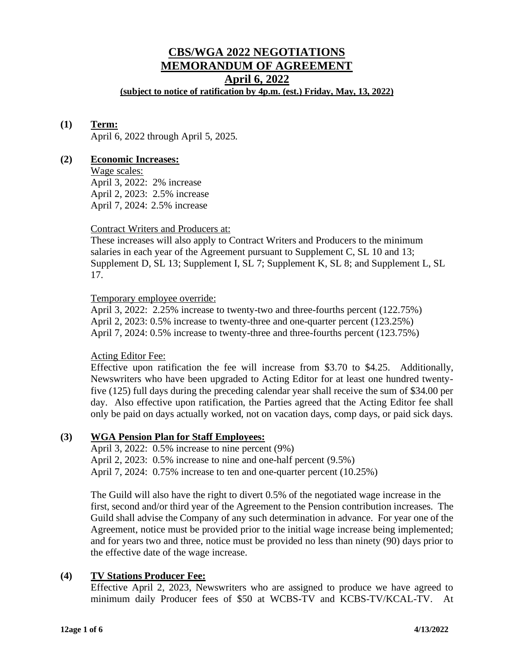# **CBS/WGA 2022 NEGOTIATIONS MEMORANDUM OF AGREEMENT April 6, 2022**

**(subject to notice of ratification by 4p.m. (est.) Friday, May, 13, 2022)**

# **(1) Term:**

April 6, 2022 through April 5, 2025.

# **(2) Economic Increases:**

Wage scales: April 3, 2022: 2% increase April 2, 2023: 2.5% increase April 7, 2024: 2.5% increase

# Contract Writers and Producers at:

These increases will also apply to Contract Writers and Producers to the minimum salaries in each year of the Agreement pursuant to Supplement C, SL 10 and 13; Supplement D, SL 13; Supplement I, SL 7; Supplement K, SL 8; and Supplement L, SL 17.

# Temporary employee override:

April 3, 2022: 2.25% increase to twenty-two and three-fourths percent (122.75%) April 2, 2023: 0.5% increase to twenty-three and one-quarter percent (123.25%) April 7, 2024: 0.5% increase to twenty-three and three-fourths percent (123.75%)

# Acting Editor Fee:

Effective upon ratification the fee will increase from \$3.70 to \$4.25. Additionally, Newswriters who have been upgraded to Acting Editor for at least one hundred twentyfive (125) full days during the preceding calendar year shall receive the sum of \$34.00 per day. Also effective upon ratification, the Parties agreed that the Acting Editor fee shall only be paid on days actually worked, not on vacation days, comp days, or paid sick days.

# **(3) WGA Pension Plan for Staff Employees:**

April 3, 2022: 0.5% increase to nine percent (9%) April 2, 2023: 0.5% increase to nine and one-half percent (9.5%) April 7, 2024: 0.75% increase to ten and one-quarter percent (10.25%)

The Guild will also have the right to divert 0.5% of the negotiated wage increase in the first, second and/or third year of the Agreement to the Pension contribution increases. The Guild shall advise the Company of any such determination in advance. For year one of the Agreement, notice must be provided prior to the initial wage increase being implemented; and for years two and three, notice must be provided no less than ninety (90) days prior to the effective date of the wage increase.

# **(4) TV Stations Producer Fee:**

Effective April 2, 2023, Newswriters who are assigned to produce we have agreed to minimum daily Producer fees of \$50 at WCBS-TV and KCBS-TV/KCAL-TV. At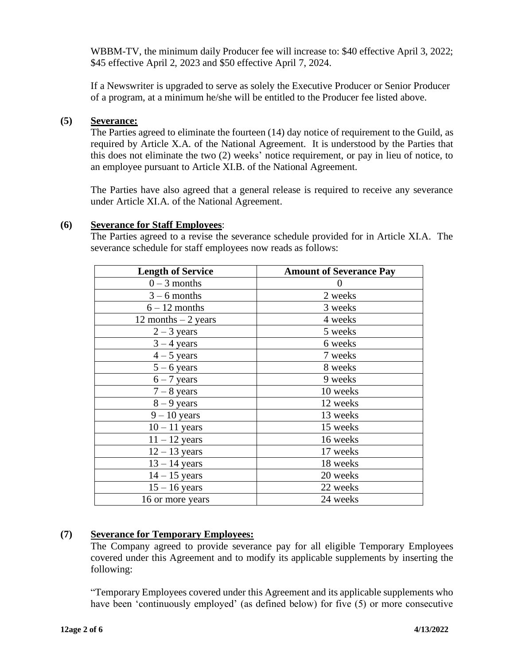WBBM-TV, the minimum daily Producer fee will increase to: \$40 effective April 3, 2022; \$45 effective April 2, 2023 and \$50 effective April 7, 2024.

If a Newswriter is upgraded to serve as solely the Executive Producer or Senior Producer of a program, at a minimum he/she will be entitled to the Producer fee listed above.

# **(5) Severance:**

The Parties agreed to eliminate the fourteen (14) day notice of requirement to the Guild, as required by Article X.A. of the National Agreement. It is understood by the Parties that this does not eliminate the two (2) weeks' notice requirement, or pay in lieu of notice, to an employee pursuant to Article XI.B. of the National Agreement.

The Parties have also agreed that a general release is required to receive any severance under Article XI.A. of the National Agreement.

# **(6) Severance for Staff Employees**:

The Parties agreed to a revise the severance schedule provided for in Article XI.A. The severance schedule for staff employees now reads as follows:

| <b>Length of Service</b> | <b>Amount of Severance Pay</b> |
|--------------------------|--------------------------------|
| $0 - 3$ months           | $\theta$                       |
| $3 - 6$ months           | 2 weeks                        |
| $6 - 12$ months          | 3 weeks                        |
| 12 months $-2$ years     | 4 weeks                        |
| $2 - 3$ years            | 5 weeks                        |
| $3 - 4$ years            | 6 weeks                        |
| $4 - 5$ years            | 7 weeks                        |
| $5 - 6$ years            | 8 weeks                        |
| $6 - 7$ years            | 9 weeks                        |
| $7 - 8$ years            | 10 weeks                       |
| $8 - 9$ years            | 12 weeks                       |
| $9 - 10$ years           | 13 weeks                       |
| $10 - 11$ years          | 15 weeks                       |
| $11 - 12$ years          | 16 weeks                       |
| $12 - 13$ years          | 17 weeks                       |
| $13 - 14$ years          | 18 weeks                       |
| $14 - 15$ years          | 20 weeks                       |
| $15 - 16$ years          | 22 weeks                       |
| 16 or more years         | 24 weeks                       |
|                          |                                |

# **(7) Severance for Temporary Employees:**

The Company agreed to provide severance pay for all eligible Temporary Employees covered under this Agreement and to modify its applicable supplements by inserting the following:

"Temporary Employees covered under this Agreement and its applicable supplements who have been 'continuously employed' (as defined below) for five (5) or more consecutive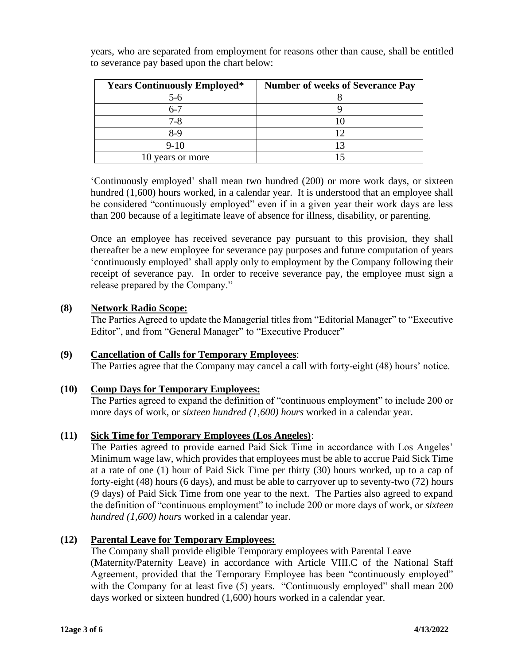| <b>Years Continuously Employed*</b> | <b>Number of weeks of Severance Pay</b> |
|-------------------------------------|-----------------------------------------|
| $5-6$                               |                                         |
|                                     |                                         |
| 7-8                                 |                                         |
| 8-9                                 |                                         |
| $9-10$                              |                                         |
| years or more                       |                                         |

years, who are separated from employment for reasons other than cause, shall be entitled to severance pay based upon the chart below:

'Continuously employed' shall mean two hundred (200) or more work days, or sixteen hundred (1,600) hours worked, in a calendar year. It is understood that an employee shall be considered "continuously employed" even if in a given year their work days are less than 200 because of a legitimate leave of absence for illness, disability, or parenting.

Once an employee has received severance pay pursuant to this provision, they shall thereafter be a new employee for severance pay purposes and future computation of years 'continuously employed' shall apply only to employment by the Company following their receipt of severance pay. In order to receive severance pay, the employee must sign a release prepared by the Company."

# **(8) Network Radio Scope:**

The Parties Agreed to update the Managerial titles from "Editorial Manager" to "Executive Editor", and from "General Manager" to "Executive Producer"

# **(9) Cancellation of Calls for Temporary Employees**:

The Parties agree that the Company may cancel a call with forty-eight (48) hours' notice.

# **(10) Comp Days for Temporary Employees:**

The Parties agreed to expand the definition of "continuous employment" to include 200 or more days of work, or *sixteen hundred (1,600) hours* worked in a calendar year.

# **(11) Sick Time for Temporary Employees (Los Angeles)**:

The Parties agreed to provide earned Paid Sick Time in accordance with Los Angeles' Minimum wage law, which provides that employees must be able to accrue Paid Sick Time at a rate of one (1) hour of Paid Sick Time per thirty (30) hours worked, up to a cap of forty-eight (48) hours (6 days), and must be able to carryover up to seventy-two (72) hours (9 days) of Paid Sick Time from one year to the next. The Parties also agreed to expand the definition of "continuous employment" to include 200 or more days of work, or *sixteen hundred (1,600) hours* worked in a calendar year.

# **(12) Parental Leave for Temporary Employees:**

The Company shall provide eligible Temporary employees with Parental Leave (Maternity/Paternity Leave) in accordance with Article VIII.C of the National Staff Agreement, provided that the Temporary Employee has been "continuously employed" with the Company for at least five (5) years. "Continuously employed" shall mean 200 days worked or sixteen hundred (1,600) hours worked in a calendar year.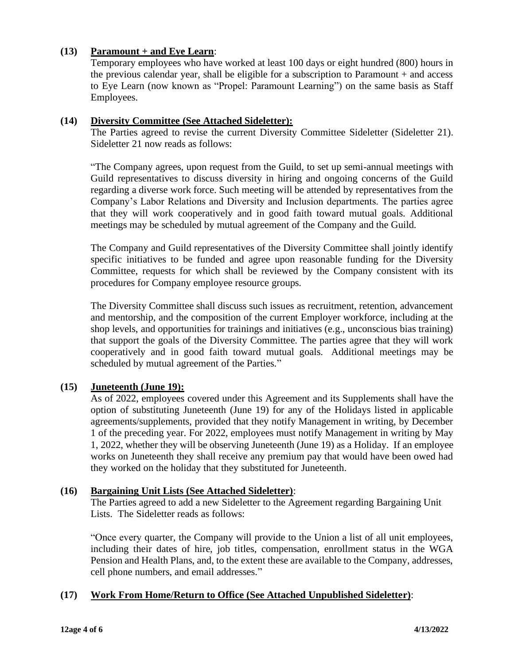# **(13) Paramount + and Eye Learn**:

Temporary employees who have worked at least 100 days or eight hundred (800) hours in the previous calendar year, shall be eligible for a subscription to Paramount + and access to Eye Learn (now known as "Propel: Paramount Learning") on the same basis as Staff Employees.

# **(14) Diversity Committee (See Attached Sideletter):**

The Parties agreed to revise the current Diversity Committee Sideletter (Sideletter 21). Sideletter 21 now reads as follows:

"The Company agrees, upon request from the Guild, to set up semi-annual meetings with Guild representatives to discuss diversity in hiring and ongoing concerns of the Guild regarding a diverse work force. Such meeting will be attended by representatives from the Company's Labor Relations and Diversity and Inclusion departments. The parties agree that they will work cooperatively and in good faith toward mutual goals. Additional meetings may be scheduled by mutual agreement of the Company and the Guild.

The Company and Guild representatives of the Diversity Committee shall jointly identify specific initiatives to be funded and agree upon reasonable funding for the Diversity Committee, requests for which shall be reviewed by the Company consistent with its procedures for Company employee resource groups.

The Diversity Committee shall discuss such issues as recruitment, retention, advancement and mentorship, and the composition of the current Employer workforce, including at the shop levels, and opportunities for trainings and initiatives (e.g., unconscious bias training) that support the goals of the Diversity Committee. The parties agree that they will work cooperatively and in good faith toward mutual goals. Additional meetings may be scheduled by mutual agreement of the Parties."

# **(15) Juneteenth (June 19):**

As of 2022, employees covered under this Agreement and its Supplements shall have the option of substituting Juneteenth (June 19) for any of the Holidays listed in applicable agreements/supplements, provided that they notify Management in writing, by December 1 of the preceding year. For 2022, employees must notify Management in writing by May 1, 2022, whether they will be observing Juneteenth (June 19) as a Holiday. If an employee works on Juneteenth they shall receive any premium pay that would have been owed had they worked on the holiday that they substituted for Juneteenth.

# **(16) Bargaining Unit Lists (See Attached Sideletter)**:

The Parties agreed to add a new Sideletter to the Agreement regarding Bargaining Unit Lists. The Sideletter reads as follows:

"Once every quarter, the Company will provide to the Union a list of all unit employees, including their dates of hire, job titles, compensation, enrollment status in the WGA Pension and Health Plans, and, to the extent these are available to the Company, addresses, cell phone numbers, and email addresses."

# **(17) Work From Home/Return to Office (See Attached Unpublished Sideletter)**: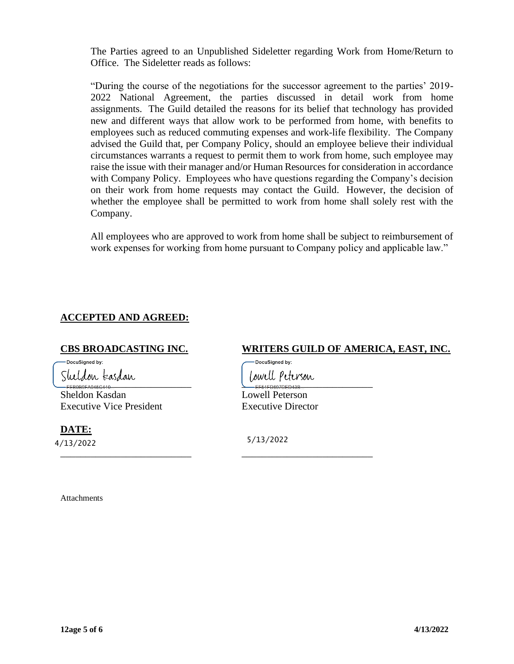The Parties agreed to an Unpublished Sideletter regarding Work from Home/Return to Office. The Sideletter reads as follows:

"During the course of the negotiations for the successor agreement to the parties' 2019- 2022 National Agreement, the parties discussed in detail work from home assignments. The Guild detailed the reasons for its belief that technology has provided new and different ways that allow work to be performed from home, with benefits to employees such as reduced commuting expenses and work-life flexibility. The Company advised the Guild that, per Company Policy, should an employee believe their individual circumstances warrants a request to permit them to work from home, such employee may raise the issue with their manager and/or Human Resources for consideration in accordance with Company Policy. Employees who have questions regarding the Company's decision on their work from home requests may contact the Guild. However, the decision of whether the employee shall be permitted to work from home shall solely rest with the Company.

All employees who are approved to work from home shall be subject to reimbursement of work expenses for working from home pursuant to Company policy and applicable law."

# **ACCEPTED AND AGREED:**

-<br>DocuSianed by:

 $-$ FEBOB9FA945C410

Sheldon Kasdan Lowell Peterson Executive Vice President Executive Director

**DATE:** 4/13/2022 5/13/2022

# **CBS BROADCASTING INC. WRITERS GUILD OF AMERICA, EAST, INC.**

DocuSigned by:

\_\_\_\_\_\_\_\_\_\_\_\_\_\_\_\_\_\_\_\_\_\_\_\_\_\_ \_\_\_\_\_\_\_\_\_\_\_\_\_\_\_\_\_\_\_\_\_\_\_\_\_\_

Attachments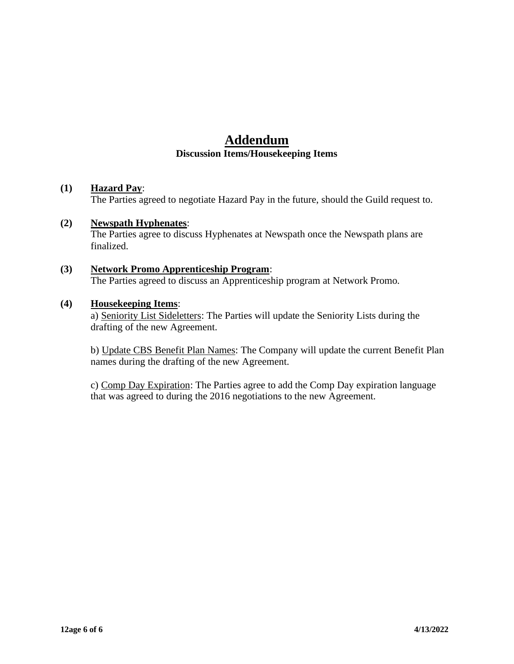# **Addendum Discussion Items/Housekeeping Items**

# **(1) Hazard Pay**:

The Parties agreed to negotiate Hazard Pay in the future, should the Guild request to.

# **(2) Newspath Hyphenates**:

The Parties agree to discuss Hyphenates at Newspath once the Newspath plans are finalized.

# **(3) Network Promo Apprenticeship Program**: The Parties agreed to discuss an Apprenticeship program at Network Promo.

## **(4) Housekeeping Items**:

a) Seniority List Sideletters: The Parties will update the Seniority Lists during the drafting of the new Agreement.

b) Update CBS Benefit Plan Names: The Company will update the current Benefit Plan names during the drafting of the new Agreement.

c) Comp Day Expiration: The Parties agree to add the Comp Day expiration language that was agreed to during the 2016 negotiations to the new Agreement.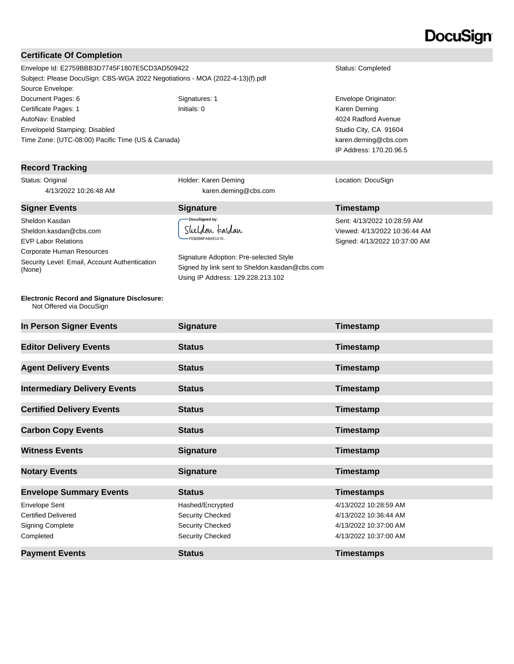# **DocuSign**

### **Certificate Of Completion**

Envelope Id: E2759BBB3D7745F1807E5CD3AD509422 Status: Completed Subject: Please DocuSign: CBS-WGA 2022 Negotiations - MOA (2022-4-13)(f).pdf Source Envelope: Document Pages: 6 Signatures: 1 Signatures: 1 Envelope Originator: Certificate Pages: 1 **Initials: 0** Initials: 0 **Initials: 0** Karen Deming AutoNav: Enabled EnvelopeId Stamping: Disabled Time Zone: (UTC-08:00) Pacific Time (US & Canada)

### **Record Tracking**

Status: Original 4/13/2022 10:26:48 AM

Sheldon Kasdan Sheldon.kasdan@cbs.com EVP Labor Relations Corporate Human Resources Security Level: Email, Account Authentication (None)

**Electronic Record and Signature Disclosure:**  Not Offered via DocuSign

Holder: Karen Deming karen.deming@cbs.com

### **Signer Events Signature Timestamp** DocuSigned by: Sheldon kasdan

FEB0B9FA945C410...

Signature Adoption: Pre-selected Style Signed by link sent to Sheldon.kasdan@cbs.com Using IP Address: 129.228.213.102

4024 Radford Avenue Studio City, CA 91604 karen.deming@cbs.com IP Address: 170.20.96.5

#### Location: DocuSign

Sent: 4/13/2022 10:28:59 AM Viewed: 4/13/2022 10:36:44 AM Signed: 4/13/2022 10:37:00 AM

| In Person Signer Events             | <b>Signature</b> | Timestamp             |
|-------------------------------------|------------------|-----------------------|
| <b>Editor Delivery Events</b>       | <b>Status</b>    | Timestamp             |
| <b>Agent Delivery Events</b>        | <b>Status</b>    | Timestamp             |
| <b>Intermediary Delivery Events</b> | <b>Status</b>    | Timestamp             |
| <b>Certified Delivery Events</b>    | <b>Status</b>    | Timestamp             |
| <b>Carbon Copy Events</b>           | <b>Status</b>    | <b>Timestamp</b>      |
| <b>Witness Events</b>               | <b>Signature</b> | Timestamp             |
| <b>Notary Events</b>                | <b>Signature</b> | Timestamp             |
| <b>Envelope Summary Events</b>      | <b>Status</b>    | <b>Timestamps</b>     |
| <b>Envelope Sent</b>                | Hashed/Encrypted | 4/13/2022 10:28:59 AM |
| <b>Certified Delivered</b>          | Security Checked | 4/13/2022 10:36:44 AM |
| <b>Signing Complete</b>             | Security Checked | 4/13/2022 10:37:00 AM |
| Completed                           | Security Checked | 4/13/2022 10:37:00 AM |
| <b>Payment Events</b>               | <b>Status</b>    | <b>Timestamps</b>     |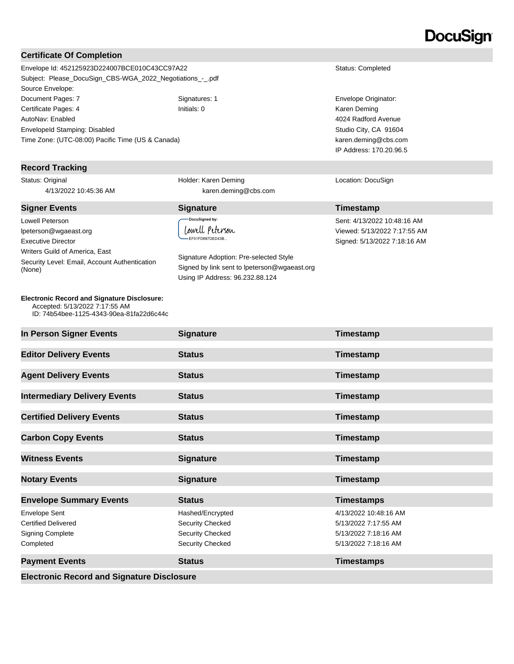# **DocuSign**

#### **Certificate Of Completion**

Envelope Id: 452125923D224007BCE010C43CC97A22 Status: Completed Subject: Please\_DocuSign\_CBS-WGA\_2022\_Negotiations\_-\_.pdf Source Envelope: Document Pages: 7 Signatures: 1 Signatures: 1 Envelope Originator: Certificate Pages: 4 **Initials: 0** Initials: 0 **Initials: 0** Karen Deming AutoNav: Enabled EnvelopeId Stamping: Disabled Time Zone: (UTC-08:00) Pacific Time (US & Canada)

### **Record Tracking**

Status: Original 4/13/2022 10:45:36 AM

## **Signer Events Signature CONSISTENT <b>Signature Timestamp**

Lowell Peterson lpeterson@wgaeast.org Executive Director Writers Guild of America, East Security Level: Email, Account Authentication (None)

#### **Electronic Record and Signature Disclosure:**  Accepted: 5/13/2022 7:17:55 AM

ID: 74b54bee-1125-4343-90ea-81fa22d6c44c

Holder: Karen Deming karen.deming@cbs.com

# DocuSigned by:

Lowell Peterson EF51FD697DED43B.

Signature Adoption: Pre-selected Style Signed by link sent to lpeterson@wgaeast.org Using IP Address: 96.232.88.124

4024 Radford Avenue Studio City, CA 91604 karen.deming@cbs.com IP Address: 170.20.96.5

#### Location: DocuSign

Sent: 4/13/2022 10:48:16 AM Viewed: 5/13/2022 7:17:55 AM Signed: 5/13/2022 7:18:16 AM

| In Person Signer Events                                                                    | <b>Signature</b>                                                             | Timestamp                                                                                     |  |  |
|--------------------------------------------------------------------------------------------|------------------------------------------------------------------------------|-----------------------------------------------------------------------------------------------|--|--|
| <b>Editor Delivery Events</b>                                                              | <b>Status</b>                                                                | Timestamp                                                                                     |  |  |
| <b>Agent Delivery Events</b>                                                               | <b>Status</b>                                                                | Timestamp                                                                                     |  |  |
| <b>Intermediary Delivery Events</b>                                                        | <b>Status</b>                                                                | Timestamp                                                                                     |  |  |
| <b>Certified Delivery Events</b>                                                           | <b>Status</b>                                                                | Timestamp                                                                                     |  |  |
| <b>Carbon Copy Events</b>                                                                  | <b>Status</b>                                                                | Timestamp                                                                                     |  |  |
| <b>Witness Events</b>                                                                      | <b>Signature</b>                                                             | Timestamp                                                                                     |  |  |
| <b>Notary Events</b>                                                                       | <b>Signature</b>                                                             | Timestamp                                                                                     |  |  |
| <b>Envelope Summary Events</b>                                                             | <b>Status</b>                                                                | <b>Timestamps</b>                                                                             |  |  |
| <b>Envelope Sent</b><br><b>Certified Delivered</b><br><b>Signing Complete</b><br>Completed | Hashed/Encrypted<br>Security Checked<br>Security Checked<br>Security Checked | 4/13/2022 10:48:16 AM<br>5/13/2022 7:17:55 AM<br>5/13/2022 7:18:16 AM<br>5/13/2022 7:18:16 AM |  |  |
| <b>Payment Events</b>                                                                      | <b>Status</b>                                                                | <b>Timestamps</b>                                                                             |  |  |
| <b>Electronic Record and Signature Disclosure</b>                                          |                                                                              |                                                                                               |  |  |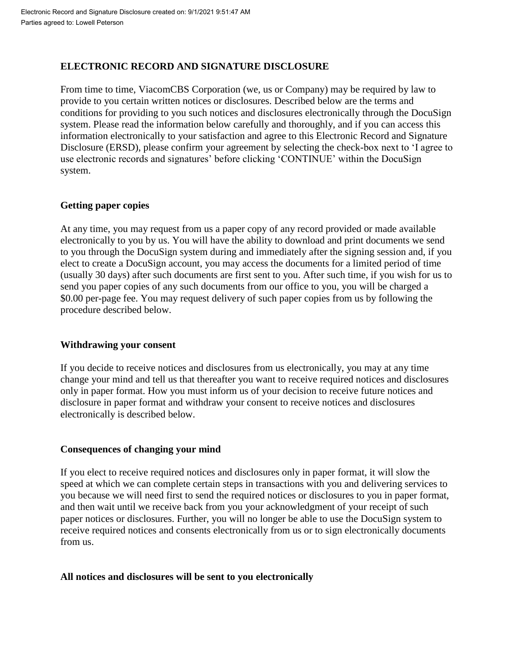# **ELECTRONIC RECORD AND SIGNATURE DISCLOSURE**

From time to time, ViacomCBS Corporation (we, us or Company) may be required by law to provide to you certain written notices or disclosures. Described below are the terms and conditions for providing to you such notices and disclosures electronically through the DocuSign system. Please read the information below carefully and thoroughly, and if you can access this information electronically to your satisfaction and agree to this Electronic Record and Signature Disclosure (ERSD), please confirm your agreement by selecting the check-box next to 'I agree to use electronic records and signatures' before clicking 'CONTINUE' within the DocuSign system.

# **Getting paper copies**

At any time, you may request from us a paper copy of any record provided or made available electronically to you by us. You will have the ability to download and print documents we send to you through the DocuSign system during and immediately after the signing session and, if you elect to create a DocuSign account, you may access the documents for a limited period of time (usually 30 days) after such documents are first sent to you. After such time, if you wish for us to send you paper copies of any such documents from our office to you, you will be charged a \$0.00 per-page fee. You may request delivery of such paper copies from us by following the procedure described below.

# **Withdrawing your consent**

If you decide to receive notices and disclosures from us electronically, you may at any time change your mind and tell us that thereafter you want to receive required notices and disclosures only in paper format. How you must inform us of your decision to receive future notices and disclosure in paper format and withdraw your consent to receive notices and disclosures electronically is described below.

# **Consequences of changing your mind**

If you elect to receive required notices and disclosures only in paper format, it will slow the speed at which we can complete certain steps in transactions with you and delivering services to you because we will need first to send the required notices or disclosures to you in paper format, and then wait until we receive back from you your acknowledgment of your receipt of such paper notices or disclosures. Further, you will no longer be able to use the DocuSign system to receive required notices and consents electronically from us or to sign electronically documents from us.

# **All notices and disclosures will be sent to you electronically**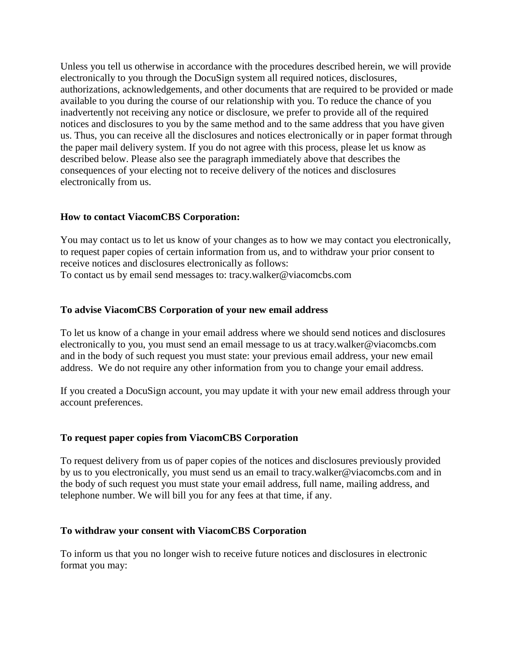Unless you tell us otherwise in accordance with the procedures described herein, we will provide electronically to you through the DocuSign system all required notices, disclosures, authorizations, acknowledgements, and other documents that are required to be provided or made available to you during the course of our relationship with you. To reduce the chance of you inadvertently not receiving any notice or disclosure, we prefer to provide all of the required notices and disclosures to you by the same method and to the same address that you have given us. Thus, you can receive all the disclosures and notices electronically or in paper format through the paper mail delivery system. If you do not agree with this process, please let us know as described below. Please also see the paragraph immediately above that describes the consequences of your electing not to receive delivery of the notices and disclosures electronically from us.

# **How to contact ViacomCBS Corporation:**

You may contact us to let us know of your changes as to how we may contact you electronically, to request paper copies of certain information from us, and to withdraw your prior consent to receive notices and disclosures electronically as follows: To contact us by email send messages to: tracy.walker@viacomcbs.com

# **To advise ViacomCBS Corporation of your new email address**

To let us know of a change in your email address where we should send notices and disclosures electronically to you, you must send an email message to us at tracy.walker@viacomcbs.com and in the body of such request you must state: your previous email address, your new email address. We do not require any other information from you to change your email address.

If you created a DocuSign account, you may update it with your new email address through your account preferences.

# **To request paper copies from ViacomCBS Corporation**

To request delivery from us of paper copies of the notices and disclosures previously provided by us to you electronically, you must send us an email to tracy.walker@viacomcbs.com and in the body of such request you must state your email address, full name, mailing address, and telephone number. We will bill you for any fees at that time, if any.

### **To withdraw your consent with ViacomCBS Corporation**

To inform us that you no longer wish to receive future notices and disclosures in electronic format you may: